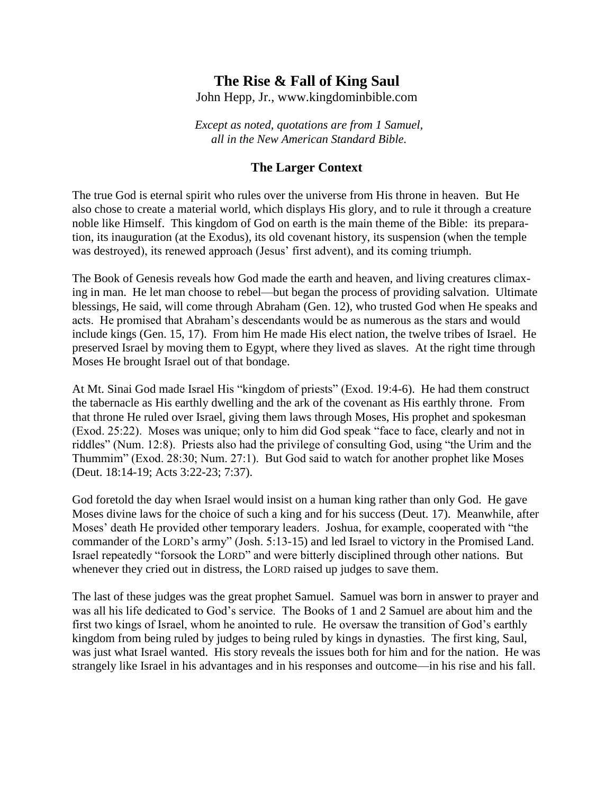# **The Rise & Fall of King Saul**

John Hepp, Jr., www.kingdominbible.com

*Except as noted, quotations are from 1 Samuel, all in the New American Standard Bible.*

### **The Larger Context**

The true God is eternal spirit who rules over the universe from His throne in heaven. But He also chose to create a material world, which displays His glory, and to rule it through a creature noble like Himself. This kingdom of God on earth is the main theme of the Bible: its preparation, its inauguration (at the Exodus), its old covenant history, its suspension (when the temple was destroyed), its renewed approach (Jesus' first advent), and its coming triumph.

The Book of Genesis reveals how God made the earth and heaven, and living creatures climaxing in man. He let man choose to rebel—but began the process of providing salvation. Ultimate blessings, He said, will come through Abraham (Gen. 12), who trusted God when He speaks and acts. He promised that Abraham's descendants would be as numerous as the stars and would include kings (Gen. 15, 17). From him He made His elect nation, the twelve tribes of Israel. He preserved Israel by moving them to Egypt, where they lived as slaves. At the right time through Moses He brought Israel out of that bondage.

At Mt. Sinai God made Israel His "kingdom of priests" (Exod. 19:4-6). He had them construct the tabernacle as His earthly dwelling and the ark of the covenant as His earthly throne. From that throne He ruled over Israel, giving them laws through Moses, His prophet and spokesman (Exod. 25:22). Moses was unique; only to him did God speak "face to face, clearly and not in riddles" (Num. 12:8). Priests also had the privilege of consulting God, using "the Urim and the Thummim" (Exod. 28:30; Num. 27:1). But God said to watch for another prophet like Moses (Deut. 18:14-19; Acts 3:22-23; 7:37).

God foretold the day when Israel would insist on a human king rather than only God. He gave Moses divine laws for the choice of such a king and for his success (Deut. 17). Meanwhile, after Moses' death He provided other temporary leaders. Joshua, for example, cooperated with "the commander of the LORD's army" (Josh. 5:13-15) and led Israel to victory in the Promised Land. Israel repeatedly "forsook the LORD" and were bitterly disciplined through other nations. But whenever they cried out in distress, the LORD raised up judges to save them.

The last of these judges was the great prophet Samuel. Samuel was born in answer to prayer and was all his life dedicated to God's service. The Books of 1 and 2 Samuel are about him and the first two kings of Israel, whom he anointed to rule. He oversaw the transition of God's earthly kingdom from being ruled by judges to being ruled by kings in dynasties. The first king, Saul, was just what Israel wanted. His story reveals the issues both for him and for the nation. He was strangely like Israel in his advantages and in his responses and outcome—in his rise and his fall.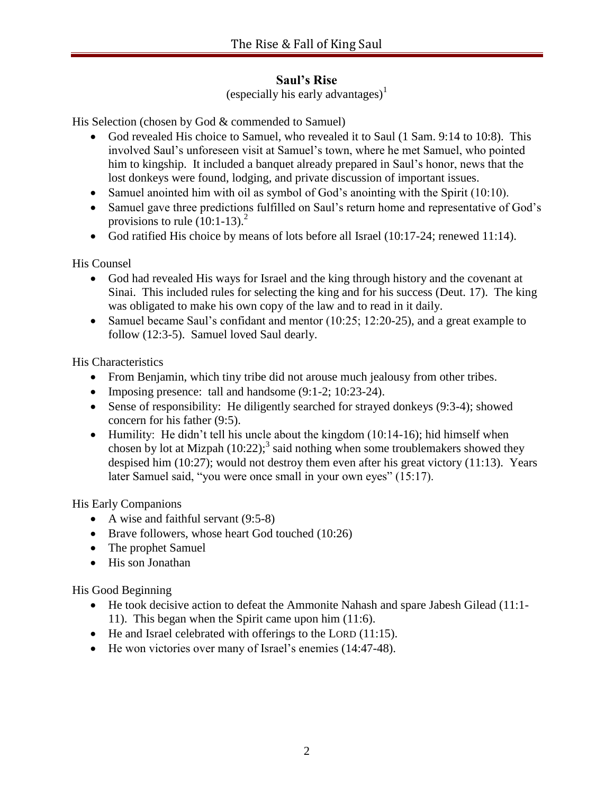# **Saul's Rise**

(especially his early advantages)<sup>1</sup>

His Selection (chosen by God & commended to Samuel)

- God revealed His choice to Samuel, who revealed it to Saul (1 Sam. 9:14 to 10:8). This involved Saul's unforeseen visit at Samuel's town, where he met Samuel, who pointed him to kingship. It included a banquet already prepared in Saul's honor, news that the lost donkeys were found, lodging, and private discussion of important issues.
- Samuel anointed him with oil as symbol of God's anointing with the Spirit (10:10).
- Samuel gave three predictions fulfilled on Saul's return home and representative of God's provisions to rule  $(10:1-13)^2$ .
- God ratified His choice by means of lots before all Israel (10:17-24; renewed 11:14).

His Counsel

- God had revealed His ways for Israel and the king through history and the covenant at Sinai. This included rules for selecting the king and for his success (Deut. 17). The king was obligated to make his own copy of the law and to read in it daily.
- Samuel became Saul's confidant and mentor (10:25; 12:20-25), and a great example to follow (12:3-5). Samuel loved Saul dearly.

His Characteristics

- From Benjamin, which tiny tribe did not arouse much jealousy from other tribes.
- Imposing presence: tall and handsome  $(9:1-2:10:23-24)$ .
- Sense of responsibility: He diligently searched for strayed donkeys (9:3-4); showed concern for his father (9:5).
- Humility: He didn't tell his uncle about the kingdom  $(10:14-16)$ ; hid himself when chosen by lot at Mizpah  $(10:22)$ ;<sup>3</sup> said nothing when some troublemakers showed they despised him (10:27); would not destroy them even after his great victory (11:13). Years later Samuel said, "you were once small in your own eyes" (15:17).

His Early Companions

- A wise and faithful servant (9:5-8)
- Brave followers, whose heart God touched (10:26)
- The prophet Samuel
- His son Jonathan

His Good Beginning

- He took decisive action to defeat the Ammonite Nahash and spare Jabesh Gilead (11:1- 11). This began when the Spirit came upon him (11:6).
- $\bullet$  He and Israel celebrated with offerings to the LORD (11:15).
- He won victories over many of Israel's enemies (14:47-48).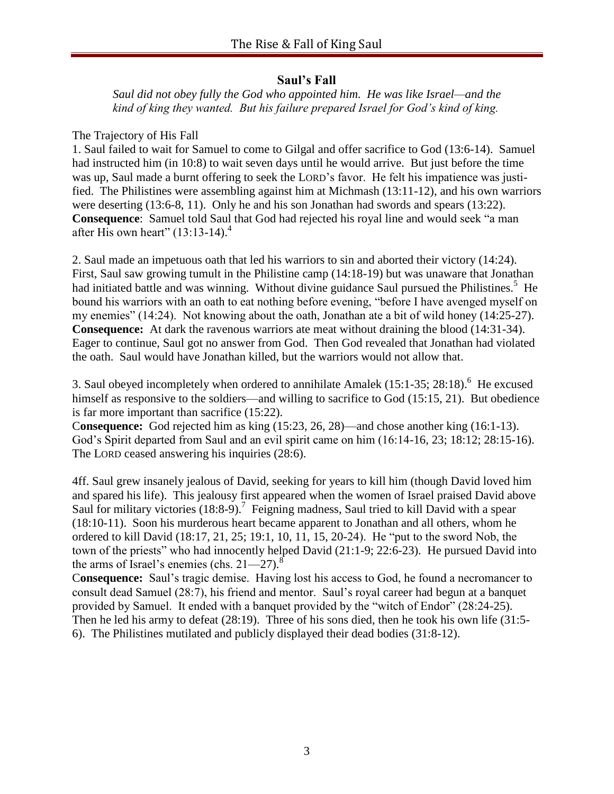## **Saul's Fall**

*Saul did not obey fully the God who appointed him. He was like Israel—and the kind of king they wanted. But his failure prepared Israel for God's kind of king.*

## The Trajectory of His Fall

1. Saul failed to wait for Samuel to come to Gilgal and offer sacrifice to God (13:6-14). Samuel had instructed him (in 10:8) to wait seven days until he would arrive. But just before the time was up, Saul made a burnt offering to seek the LORD's favor. He felt his impatience was justified. The Philistines were assembling against him at Michmash (13:11-12), and his own warriors were deserting (13:6-8, 11). Only he and his son Jonathan had swords and spears (13:22). **Consequence**: Samuel told Saul that God had rejected his royal line and would seek "a man after His own heart"  $(13:13-14)$ .<sup>4</sup>

2. Saul made an impetuous oath that led his warriors to sin and aborted their victory (14:24). First, Saul saw growing tumult in the Philistine camp (14:18-19) but was unaware that Jonathan had initiated battle and was winning. Without divine guidance Saul pursued the Philistines.<sup>5</sup> He bound his warriors with an oath to eat nothing before evening, "before I have avenged myself on my enemies" (14:24). Not knowing about the oath, Jonathan ate a bit of wild honey (14:25-27). **Consequence:** At dark the ravenous warriors ate meat without draining the blood (14:31-34). Eager to continue, Saul got no answer from God. Then God revealed that Jonathan had violated the oath. Saul would have Jonathan killed, but the warriors would not allow that.

3. Saul obeyed incompletely when ordered to annihilate Amalek  $(15:1-35; 28:18)$ .<sup>6</sup> He excused himself as responsive to the soldiers—and willing to sacrifice to God (15:15, 21). But obedience is far more important than sacrifice (15:22).

C**onsequence:** God rejected him as king (15:23, 26, 28)—and chose another king (16:1-13). God's Spirit departed from Saul and an evil spirit came on him (16:14-16, 23; 18:12; 28:15-16). The LORD ceased answering his inquiries (28:6).

4ff. Saul grew insanely jealous of David, seeking for years to kill him (though David loved him and spared his life). This jealousy first appeared when the women of Israel praised David above Saul for military victories  $(18.8-9)$ .<sup>7</sup> Feigning madness, Saul tried to kill David with a spear (18:10-11). Soon his murderous heart became apparent to Jonathan and all others, whom he ordered to kill David (18:17, 21, 25; 19:1, 10, 11, 15, 20-24). He "put to the sword Nob, the town of the priests" who had innocently helped David (21:1-9; 22:6-23). He pursued David into the arms of Israel's enemies (chs.  $21-27$ ).<sup>8</sup>

C**onsequence:** Saul's tragic demise. Having lost his access to God, he found a necromancer to consult dead Samuel (28:7), his friend and mentor. Saul's royal career had begun at a banquet provided by Samuel. It ended with a banquet provided by the "witch of Endor" (28:24-25). Then he led his army to defeat (28:19). Three of his sons died, then he took his own life (31:5- 6). The Philistines mutilated and publicly displayed their dead bodies (31:8-12).